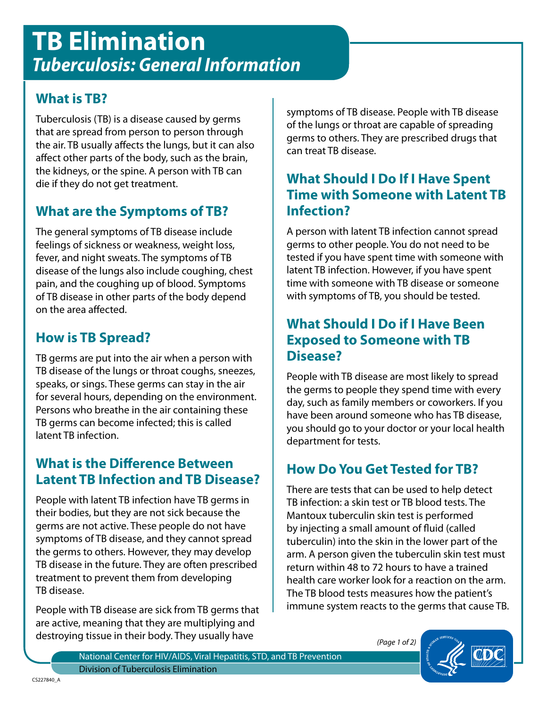# **TB Elimination** *Tuberculosis: General Information*

# **What is TB?**

Tuberculosis (TB) is a disease caused by germs that are spread from person to person through the air. TB usually affects the lungs, but it can also affect other parts of the body, such as the brain, the kidneys, or the spine. A person with TB can die if they do not get treatment.

# **What are the Symptoms of TB?**

The general symptoms of TB disease include feelings of sickness or weakness, weight loss, fever, and night sweats. The symptoms of TB disease of the lungs also include coughing, chest pain, and the coughing up of blood. Symptoms of TB disease in other parts of the body depend on the area affected.

# **How is TB Spread?**

TB germs are put into the air when a person with TB disease of the lungs or throat coughs, sneezes, speaks, or sings. These germs can stay in the air for several hours, depending on the environment. Persons who breathe in the air containing these TB germs can become infected; this is called latent TB infection.

## **What is the Difference Between Latent TB Infection and TB Disease?**

People with latent TB infection have TB germs in their bodies, but they are not sick because the germs are not active. These people do not have symptoms of TB disease, and they cannot spread the germs to others. However, they may develop TB disease in the future. They are often prescribed treatment to prevent them from developing TB disease.

People with TB disease are sick from TB germs that are active, meaning that they are multiplying and destroying tissue in their body. They usually have

symptoms of TB disease. People with TB disease of the lungs or throat are capable of spreading germs to others. They are prescribed drugs that can treat TB disease.

## **What Should I Do If I Have Spent Time with Someone with Latent TB Infection?**

A person with latent TB infection cannot spread germs to other people. You do not need to be tested if you have spent time with someone with latent TB infection. However, if you have spent time with someone with TB disease or someone with symptoms of TB, you should be tested.

#### **What Should I Do if I Have Been Exposed to Someone with TB Disease?**

People with TB disease are most likely to spread the germs to people they spend time with every day, such as family members or coworkers. If you have been around someone who has TB disease, you should go to your doctor or your local health department for tests.

# **How Do You Get Tested for TB?**

There are tests that can be used to help detect TB infection: a skin test or TB blood tests. The Mantoux tuberculin skin test is performed by injecting a small amount of fluid (called tuberculin) into the skin in the lower part of the arm. A person given the tuberculin skin test must return within 48 to 72 hours to have a trained health care worker look for a reaction on the arm. The TB blood tests measures how the patient's immune system reacts to the germs that cause TB.

*<sup>(</sup>Page 1 of 2)*